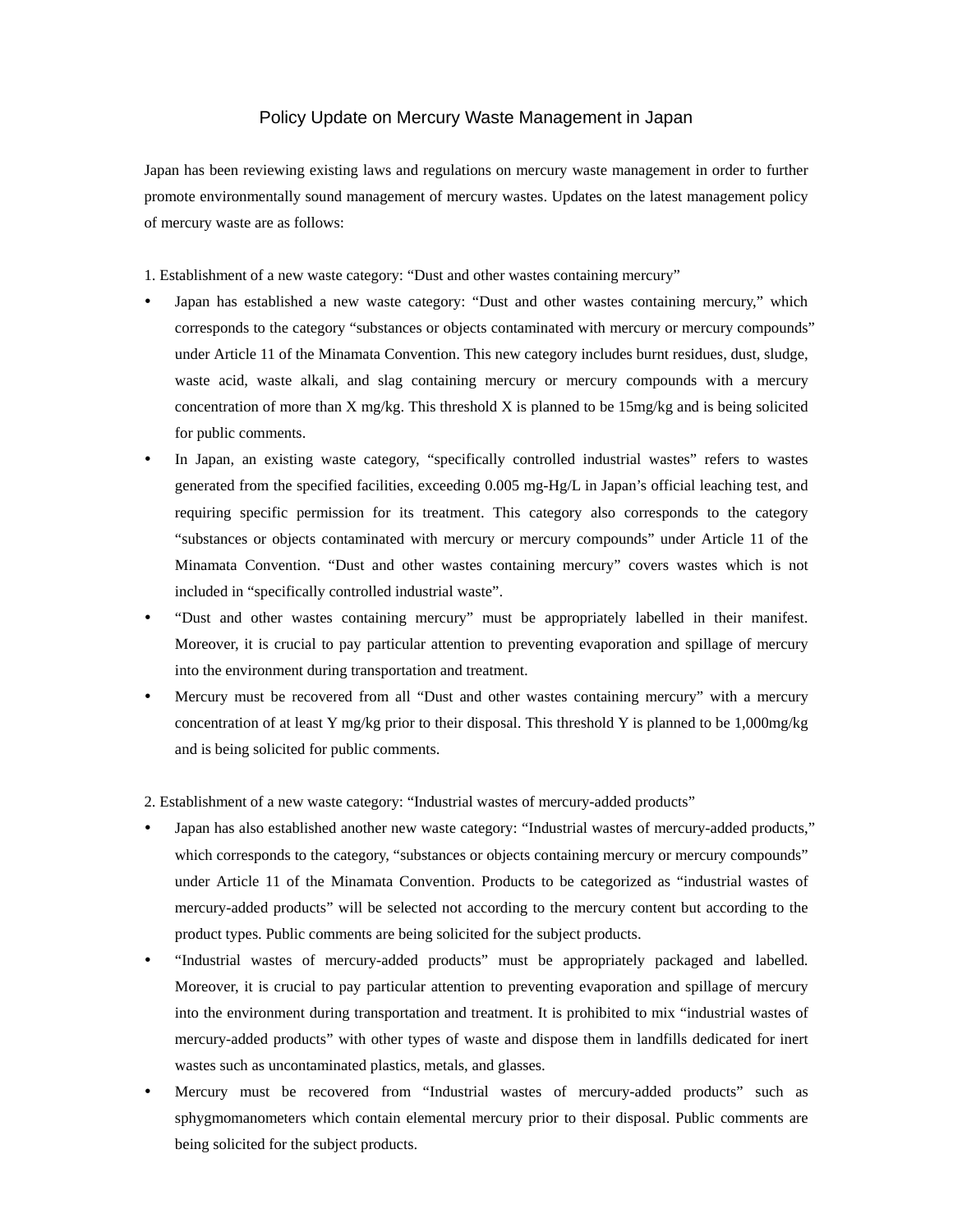## Policy Update on Mercury Waste Management in Japan

Japan has been reviewing existing laws and regulations on mercury waste management in order to further promote environmentally sound management of mercury wastes. Updates on the latest management policy of mercury waste are as follows:

1. Establishment of a new waste category: "Dust and other wastes containing mercury"

- Japan has established a new waste category: "Dust and other wastes containing mercury," which corresponds to the category "substances or objects contaminated with mercury or mercury compounds" under Article 11 of the Minamata Convention. This new category includes burnt residues, dust, sludge, waste acid, waste alkali, and slag containing mercury or mercury compounds with a mercury concentration of more than X mg/kg. This threshold X is planned to be  $15mg/kg$  and is being solicited for public comments.
- In Japan, an existing waste category, "specifically controlled industrial wastes" refers to wastes generated from the specified facilities, exceeding 0.005 mg-Hg/L in Japan's official leaching test, and requiring specific permission for its treatment. This category also corresponds to the category "substances or objects contaminated with mercury or mercury compounds" under Article 11 of the Minamata Convention. "Dust and other wastes containing mercury" covers wastes which is not included in "specifically controlled industrial waste".
- "Dust and other wastes containing mercury" must be appropriately labelled in their manifest. Moreover, it is crucial to pay particular attention to preventing evaporation and spillage of mercury into the environment during transportation and treatment.
- Mercury must be recovered from all "Dust and other wastes containing mercury" with a mercury concentration of at least Y mg/kg prior to their disposal. This threshold Y is planned to be 1,000mg/kg and is being solicited for public comments.

2. Establishment of a new waste category: "Industrial wastes of mercury-added products"

- Japan has also established another new waste category: "Industrial wastes of mercury-added products," which corresponds to the category, "substances or objects containing mercury or mercury compounds" under Article 11 of the Minamata Convention. Products to be categorized as "industrial wastes of mercury-added products" will be selected not according to the mercury content but according to the product types. Public comments are being solicited for the subject products.
- "Industrial wastes of mercury-added products" must be appropriately packaged and labelled. Moreover, it is crucial to pay particular attention to preventing evaporation and spillage of mercury into the environment during transportation and treatment. It is prohibited to mix "industrial wastes of mercury-added products" with other types of waste and dispose them in landfills dedicated for inert wastes such as uncontaminated plastics, metals, and glasses.
- Mercury must be recovered from "Industrial wastes of mercury-added products" such as sphygmomanometers which contain elemental mercury prior to their disposal. Public comments are being solicited for the subject products.